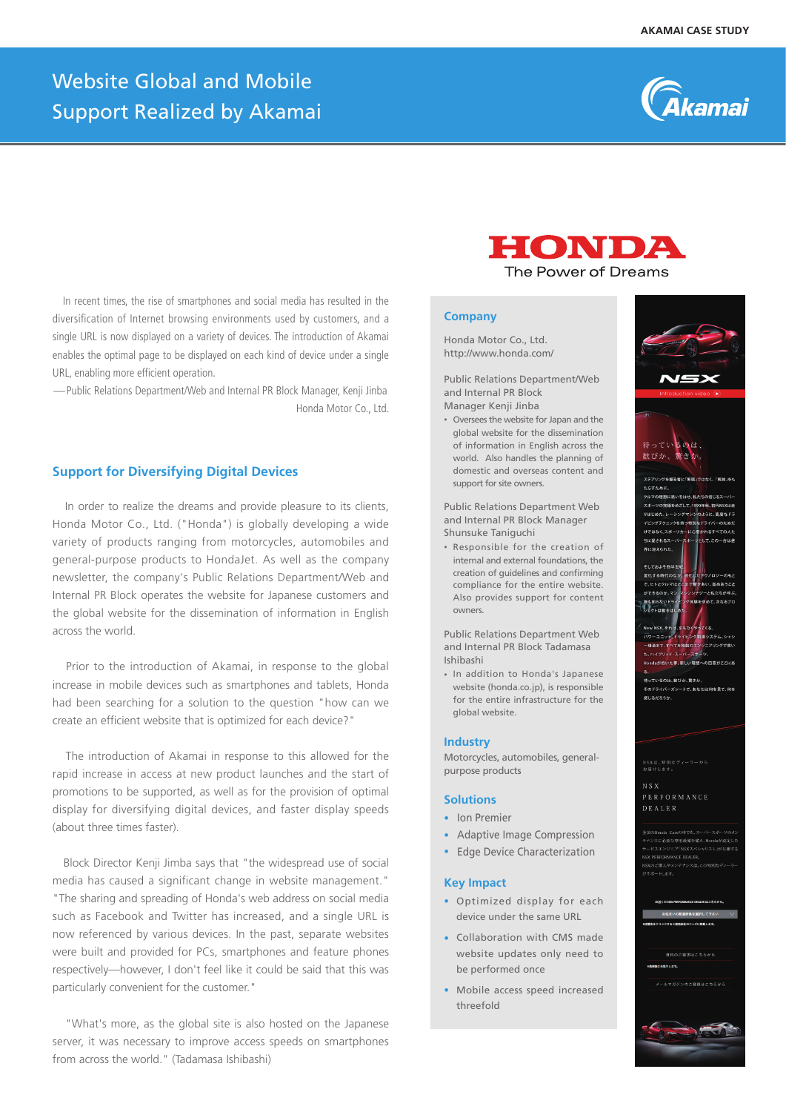# Website Global and Mobile Support Realized by Akamai



 In recent times, the rise of smartphones and social media has resulted in the diversification of Internet browsing environments used by customers, and a single URL is now displayed on a variety of devices. The introduction of Akamai enables the optimal page to be displayed on each kind of device under a single URL, enabling more efficient operation.

 $−$ Public Relations Department/Web and Internal PR Block Manager, Kenii Jinba Honda Motor Co., Ltd.

# **Support for Diversifying Digital Devices**

 In order to realize the dreams and provide pleasure to its clients, Honda Motor Co., Ltd. ("Honda") is globally developing a wide variety of products ranging from motorcycles, automobiles and general-purpose products to HondaJet. As well as the company newsletter, the company's Public Relations Department/Web and Internal PR Block operates the website for Japanese customers and the global website for the dissemination of information in English across the world.

 Prior to the introduction of Akamai, in response to the global increase in mobile devices such as smartphones and tablets, Honda had been searching for a solution to the question "how can we create an efficient website that is optimized for each device?"

 The introduction of Akamai in response to this allowed for the rapid increase in access at new product launches and the start of promotions to be supported, as well as for the provision of optimal display for diversifying digital devices, and faster display speeds (about three times faster).

 Block Director Kenji Jimba says that "the widespread use of social media has caused a significant change in website management." "The sharing and spreading of Honda's web address on social media such as Facebook and Twitter has increased, and a single URL is now referenced by various devices. In the past, separate websites were built and provided for PCs, smartphones and feature phones respectively—however, I don't feel like it could be said that this was particularly convenient for the customer."

 "What's more, as the global site is also hosted on the Japanese server, it was necessary to improve access speeds on smartphones from across the world." (Tadamasa Ishibashi)

HONDA

The Power of Dreams

#### **Company**

Honda Motor Co., Ltd. http://www.honda.com/

Public Relations Department/Web and Internal PR Block Manager Kenji Jinba

• Oversees the website for Japan and the global website for the dissemination of information in English across the world. Also handles the planning of domestic and overseas content and support for site owners.

Public Relations Department Web and Internal PR Block Manager Shunsuke Taniguchi

• Responsible for the creation of internal and external foundations, the creation of guidelines and confirming compliance for the entire website. Also provides support for content owners.

Public Relations Department Web and Internal PR Block Tadamasa Ishibashi

• In addition to Honda's Japanese website (honda.co.jp), is responsible for the entire infrastructure for the global website.

# **Industry**

Motorcycles, automobiles, generalpurpose products

#### **Solutions**

- **•** Ion Premier
- **•** Adaptive Image Compression
- **•** Edge Device Characterization

### **Key Impact**

- **•** Optimized display for each device under the same URL
- **•** Collaboration with CMS made website updates only need to be performed once
- **•** Mobile access speed increased threefold



.<br>NGC DEALER NGC 567-6. <br>府県を選択して下さい 資料のご請求はこちらから -<br>19のお客様にます。 ールマガジンのご登録はこちらから